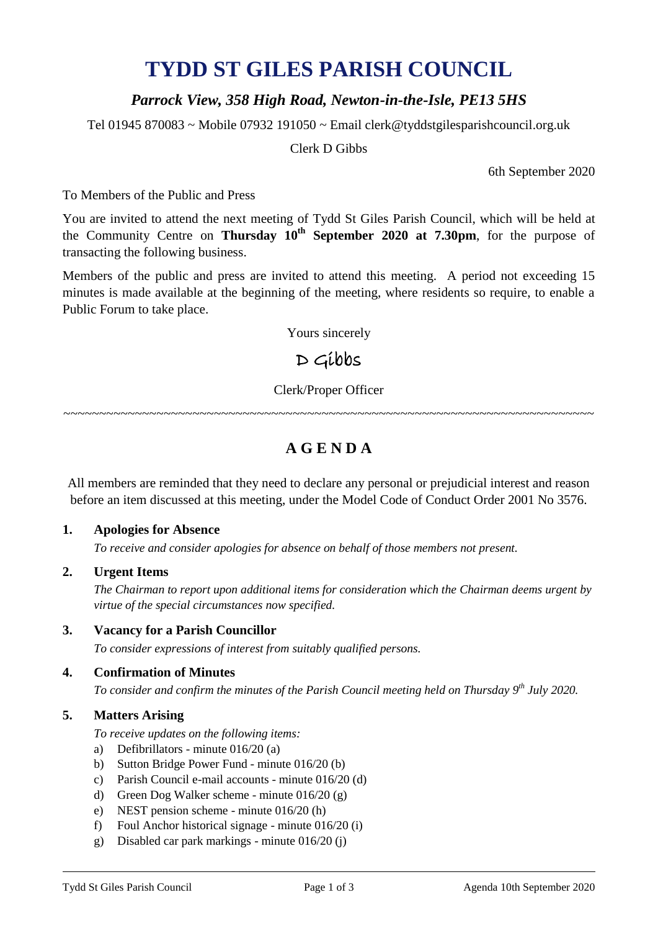# **TYDD ST GILES PARISH COUNCIL**

## *Parrock View, 358 High Road, Newton-in-the-Isle, PE13 5HS*

Tel 01945 870083 ~ Mobile 07932 191050 ~ Email clerk@tyddstgilesparishcouncil.org.uk

Clerk D Gibbs

6th September 2020

To Members of the Public and Press

You are invited to attend the next meeting of Tydd St Giles Parish Council, which will be held at the Community Centre on **Thursday 10th September 2020 at 7.30pm**, for the purpose of transacting the following business.

Members of the public and press are invited to attend this meeting. A period not exceeding 15 minutes is made available at the beginning of the meeting, where residents so require, to enable a Public Forum to take place.

Yours sincerely

## D Gibbs

Clerk/Proper Officer

~~~~~~~~~~~~~~~~~~~~~~~~~~~~~~~~~~~~~~~~~~~~~~~~~~~~~~~~~~~~~~~~~~~~~~~~~~

## **A G E N D A**

All members are reminded that they need to declare any personal or prejudicial interest and reason before an item discussed at this meeting, under the Model Code of Conduct Order 2001 No 3576.

#### **1. Apologies for Absence**

*To receive and consider apologies for absence on behalf of those members not present.*

#### **2. Urgent Items**

*The Chairman to report upon additional items for consideration which the Chairman deems urgent by virtue of the special circumstances now specified.*

#### **3. Vacancy for a Parish Councillor**

*To consider expressions of interest from suitably qualified persons.*

#### **4. Confirmation of Minutes**

*To consider and confirm the minutes of the Parish Council meeting held on Thursday 9 th July 2020.*

#### **5. Matters Arising**

- *To receive updates on the following items:*
- a) Defibrillators minute 016/20 (a)
- b) Sutton Bridge Power Fund minute 016/20 (b)
- c) Parish Council e-mail accounts minute 016/20 (d)
- d) Green Dog Walker scheme minute 016/20 (g)
- e) NEST pension scheme minute 016/20 (h)
- f) Foul Anchor historical signage minute 016/20 (i)
- g) Disabled car park markings minute 016/20 (j)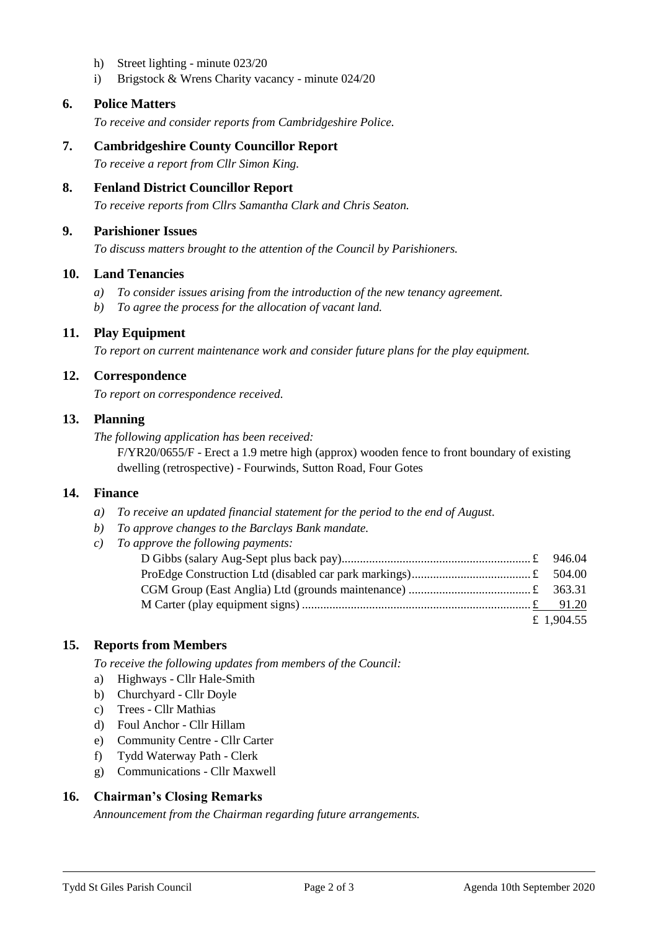- h) Street lighting minute 023/20
- i) Brigstock & Wrens Charity vacancy minute 024/20

#### **6. Police Matters**

*To receive and consider reports from Cambridgeshire Police.*

- **7. Cambridgeshire County Councillor Report** *To receive a report from Cllr Simon King.*
- **8. Fenland District Councillor Report**

*To receive reports from Cllrs Samantha Clark and Chris Seaton.*

#### **9. Parishioner Issues**

*To discuss matters brought to the attention of the Council by Parishioners.*

#### **10. Land Tenancies**

- *a) To consider issues arising from the introduction of the new tenancy agreement.*
- *b) To agree the process for the allocation of vacant land.*

#### **11. Play Equipment**

*To report on current maintenance work and consider future plans for the play equipment.*

#### **12. Correspondence**

*To report on correspondence received.*

#### **13. Planning**

*The following application has been received:*

F/YR20/0655/F - Erect a 1.9 metre high (approx) wooden fence to front boundary of existing dwelling (retrospective) - Fourwinds, Sutton Road, Four Gotes

#### **14. Finance**

- *a) To receive an updated financial statement for the period to the end of August.*
- *b) To approve changes to the Barclays Bank mandate.*
- *c) To approve the following payments:*

| £ 1,904.55 |
|------------|

#### **15. Reports from Members**

*To receive the following updates from members of the Council:*

- a) Highways Cllr Hale-Smith
- b) Churchyard Cllr Doyle
- c) Trees Cllr Mathias
- d) Foul Anchor Cllr Hillam
- e) Community Centre Cllr Carter
- f) Tydd Waterway Path Clerk
- g) Communications Cllr Maxwell

#### **16. Chairman's Closing Remarks**

*Announcement from the Chairman regarding future arrangements.*